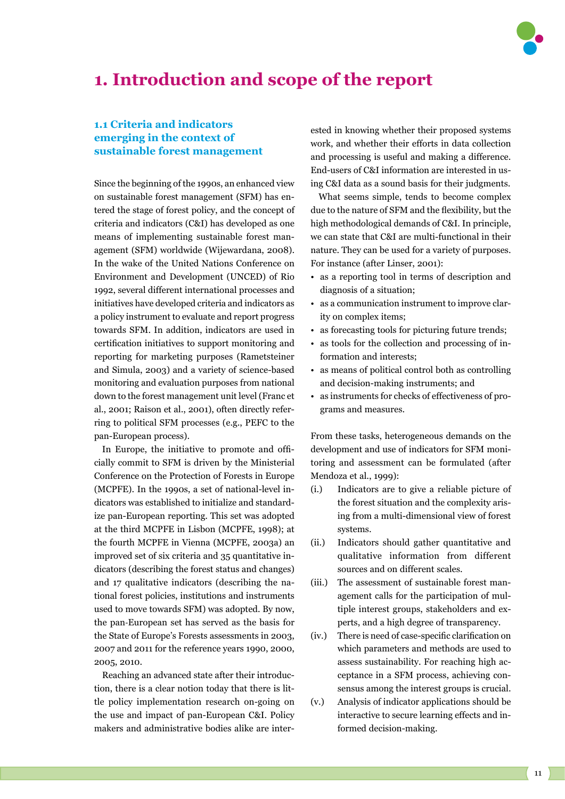

# **1. Introduction and scope of the report**

# **1.1 Criteria and indicators emerging in the context of sustainable forest management**

Since the beginning of the 1990s, an enhanced view on sustainable forest management (SFM) has entered the stage of forest policy, and the concept of criteria and indicators (C&I) has developed as one means of implementing sustainable forest management (SFM) worldwide (Wijewardana, 2008). In the wake of the United Nations Conference on Environment and Development (UNCED) of Rio 1992, several different international processes and initiatives have developed criteria and indicators as a policy instrument to evaluate and report progress towards SFM. In addition, indicators are used in certification initiatives to support monitoring and reporting for marketing purposes (Rametsteiner and Simula, 2003) and a variety of science-based monitoring and evaluation purposes from national down to the forest management unit level (Franc et al., 2001; Raison et al., 2001), often directly referring to political SFM processes (e.g., PEFC to the pan-European process).

In Europe, the initiative to promote and officially commit to SFM is driven by the Ministerial Conference on the Protection of Forests in Europe (MCPFE). In the 1990s, a set of national-level indicators was established to initialize and standardize pan-European reporting. This set was adopted at the third MCPFE in Lisbon (MCPFE, 1998); at the fourth MCPFE in Vienna (MCPFE, 2003a) an improved set of six criteria and 35 quantitative indicators (describing the forest status and changes) and 17 qualitative indicators (describing the national forest policies, institutions and instruments used to move towards SFM) was adopted. By now, the pan‐European set has served as the basis for the State of Europe's Forests assessments in 2003, 2007 and 2011 for the reference years 1990, 2000, 2005, 2010.

Reaching an advanced state after their introduction, there is a clear notion today that there is little policy implementation research on-going on the use and impact of pan-European C&I. Policy makers and administrative bodies alike are interested in knowing whether their proposed systems work, and whether their efforts in data collection and processing is useful and making a difference. End-users of C&I information are interested in using C&I data as a sound basis for their judgments.

What seems simple, tends to become complex due to the nature of SFM and the flexibility, but the high methodological demands of C&I. In principle, we can state that C&I are multi-functional in their nature. They can be used for a variety of purposes. For instance (after Linser, 2001):

- as a reporting tool in terms of description and diagnosis of a situation;
- as a communication instrument to improve clarity on complex items;
- as forecasting tools for picturing future trends;
- as tools for the collection and processing of information and interests;
- as means of political control both as controlling and decision-making instruments; and
- as instruments for checks of effectiveness of programs and measures.

From these tasks, heterogeneous demands on the development and use of indicators for SFM monitoring and assessment can be formulated (after Mendoza et al., 1999):

- (i.) Indicators are to give a reliable picture of the forest situation and the complexity arising from a multi-dimensional view of forest systems.
- (ii.) Indicators should gather quantitative and qualitative information from different sources and on different scales.
- (iii.) The assessment of sustainable forest management calls for the participation of multiple interest groups, stakeholders and experts, and a high degree of transparency.
- (iv.) There is need of case-specific clarification on which parameters and methods are used to assess sustainability. For reaching high acceptance in a SFM process, achieving consensus among the interest groups is crucial.
- (v.) Analysis of indicator applications should be interactive to secure learning effects and informed decision-making.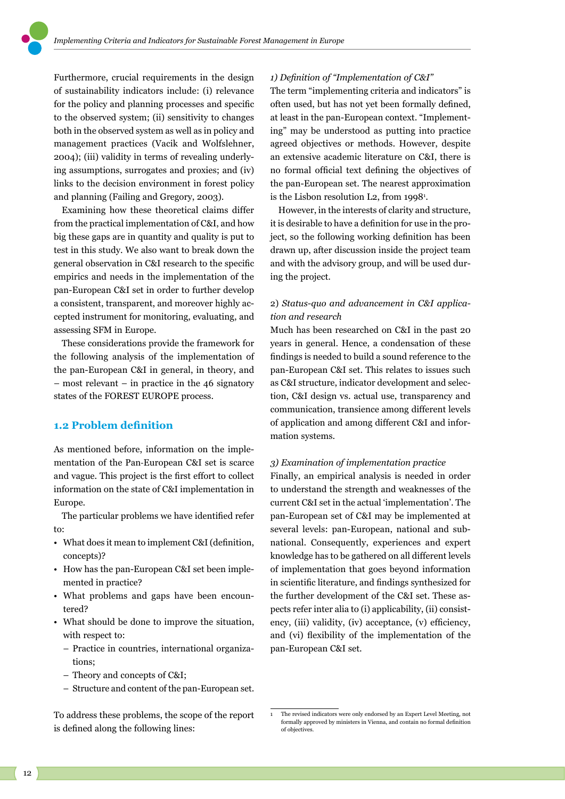Furthermore, crucial requirements in the design of sustainability indicators include: (i) relevance for the policy and planning processes and specific to the observed system; (ii) sensitivity to changes both in the observed system as well as in policy and management practices (Vacik and Wolfslehner, 2004); (iii) validity in terms of revealing underlying assumptions, surrogates and proxies; and (iv) links to the decision environment in forest policy and planning (Failing and Gregory, 2003).

Examining how these theoretical claims differ from the practical implementation of C&I, and how big these gaps are in quantity and quality is put to test in this study. We also want to break down the general observation in C&I research to the specific empirics and needs in the implementation of the pan-European C&I set in order to further develop a consistent, transparent, and moreover highly accepted instrument for monitoring, evaluating, and assessing SFM in Europe.

These considerations provide the framework for the following analysis of the implementation of the pan-European C&I in general, in theory, and – most relevant – in practice in the 46 signatory states of the FOREST EUROPE process.

#### **1.2 Problem definition**

As mentioned before, information on the implementation of the Pan‐European C&I set is scarce and vague. This project is the first effort to collect information on the state of C&I implementation in Europe.

The particular problems we have identified refer to:

- What does it mean to implement C&I (definition, concepts)?
- How has the pan-European C&I set been implemented in practice?
- What problems and gaps have been encountered?
- What should be done to improve the situation, with respect to:
	- Practice in countries, international organizations;
	- Theory and concepts of C&I;
	- Structure and content of the pan-European set.

#### *1) Definition of "Implementation of C&I"*

The term "implementing criteria and indicators" is often used, but has not yet been formally defined, at least in the pan-European context. "Implementing" may be understood as putting into practice agreed objectives or methods. However, despite an extensive academic literature on C&I, there is no formal official text defining the objectives of the pan-European set. The nearest approximation is the Lisbon resolution L2, from 1998<sup>1</sup>.

However, in the interests of clarity and structure, it is desirable to have a definition for use in the project, so the following working definition has been drawn up, after discussion inside the project team and with the advisory group, and will be used during the project.

## 2) *Status-quo and advancement in C&I application and research*

Much has been researched on C&I in the past 20 years in general. Hence, a condensation of these findings is needed to build a sound reference to the pan-European C&I set. This relates to issues such as C&I structure, indicator development and selection, C&I design vs. actual use, transparency and communication, transience among different levels of application and among different C&I and information systems.

#### *3) Examination of implementation practice*

Finally, an empirical analysis is needed in order to understand the strength and weaknesses of the current C&I set in the actual 'implementation'. The pan-European set of C&I may be implemented at several levels: pan-European, national and subnational. Consequently, experiences and expert knowledge has to be gathered on all different levels of implementation that goes beyond information in scientific literature, and findings synthesized for the further development of the C&I set. These aspects refer inter alia to (i) applicability, (ii) consistency, (iii) validity, (iv) acceptance, (v) efficiency, and (vi) flexibility of the implementation of the pan-European C&I set.

To address these problems, the scope of the report is defined along the following lines:

<sup>1</sup> The revised indicators were only endorsed by an Expert Level Meeting, not formally approved by ministers in Vienna, and contain no formal definition of objectives.